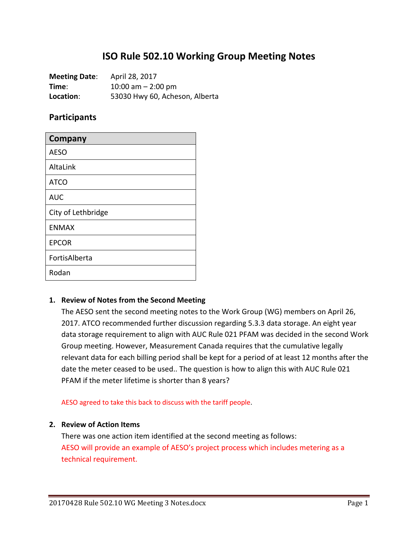# **ISO Rule 502.10 Working Group Meeting Notes**

**Meeting Date**: April 28, 2017 **Time**: 10:00 am – 2:00 pm **Location**: 53030 Hwy 60, Acheson, Alberta

## **Participants**

| <b>Company</b>     |
|--------------------|
| <b>AESO</b>        |
| AltaLink           |
| <b>ATCO</b>        |
| <b>AUC</b>         |
| City of Lethbridge |
| <b>ENMAX</b>       |
| <b>EPCOR</b>       |
| FortisAlberta      |
| Rodan              |

### **1. Review of Notes from the Second Meeting**

The AESO sent the second meeting notes to the Work Group (WG) members on April 26, 2017. ATCO recommended further discussion regarding 5.3.3 data storage. An eight year data storage requirement to align with AUC Rule 021 PFAM was decided in the second Work Group meeting. However, Measurement Canada requires that the cumulative legally relevant data for each billing period shall be kept for a period of at least 12 months after the date the meter ceased to be used.. The question is how to align this with AUC Rule 021 PFAM if the meter lifetime is shorter than 8 years?

AESO agreed to take this back to discuss with the tariff people.

#### **2. Review of Action Items**

There was one action item identified at the second meeting as follows: AESO will provide an example of AESO's project process which includes metering as a technical requirement.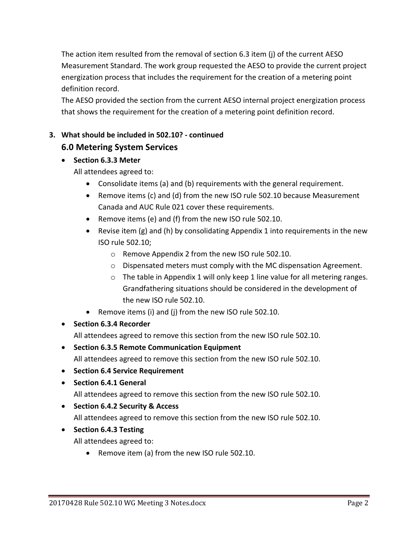The action item resulted from the removal of section 6.3 item (j) of the current AESO Measurement Standard. The work group requested the AESO to provide the current project energization process that includes the requirement for the creation of a metering point definition record.

The AESO provided the section from the current AESO internal project energization process that shows the requirement for the creation of a metering point definition record.

# **3. What should be included in 502.10? - continued**

# **6.0 Metering System Services**

• **Section 6.3.3 Meter**

All attendees agreed to:

- Consolidate items (a) and (b) requirements with the general requirement.
- Remove items (c) and (d) from the new ISO rule 502.10 because Measurement Canada and AUC Rule 021 cover these requirements.
- Remove items (e) and (f) from the new ISO rule 502.10.
- Revise item  $(g)$  and (h) by consolidating Appendix 1 into requirements in the new ISO rule 502.10;
	- o Remove Appendix 2 from the new ISO rule 502.10.
	- o Dispensated meters must comply with the MC dispensation Agreement.
	- $\circ$  The table in Appendix 1 will only keep 1 line value for all metering ranges. Grandfathering situations should be considered in the development of the new ISO rule 502.10.
- Remove items (i) and (j) from the new ISO rule 502.10.
- **Section 6.3.4 Recorder**

All attendees agreed to remove this section from the new ISO rule 502.10.

- **Section 6.3.5 Remote Communication Equipment** All attendees agreed to remove this section from the new ISO rule 502.10.
- **Section 6.4 Service Requirement**
- **Section 6.4.1 General**

All attendees agreed to remove this section from the new ISO rule 502.10.

- **Section 6.4.2 Security & Access**  All attendees agreed to remove this section from the new ISO rule 502.10.
- **Section 6.4.3 Testing**

All attendees agreed to:

• Remove item (a) from the new ISO rule 502.10.